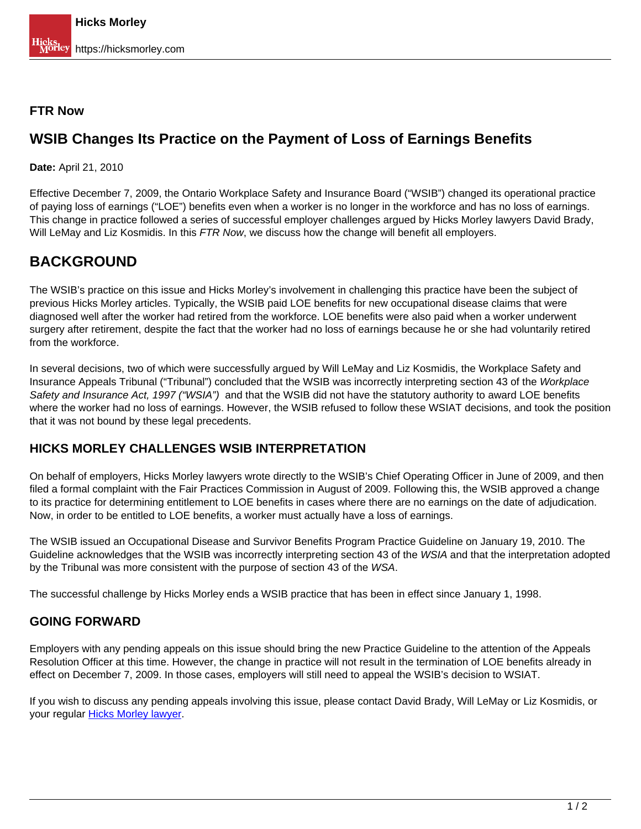### **FTR Now**

## **WSIB Changes Its Practice on the Payment of Loss of Earnings Benefits**

**Date:** April 21, 2010

Effective December 7, 2009, the Ontario Workplace Safety and Insurance Board ("WSIB") changed its operational practice of paying loss of earnings ("LOE") benefits even when a worker is no longer in the workforce and has no loss of earnings. This change in practice followed a series of successful employer challenges argued by Hicks Morley lawyers David Brady, Will LeMay and Liz Kosmidis. In this FTR Now, we discuss how the change will benefit all employers.

# **BACKGROUND**

The WSIB's practice on this issue and Hicks Morley's involvement in challenging this practice have been the subject of previous Hicks Morley articles. Typically, the WSIB paid LOE benefits for new occupational disease claims that were diagnosed well after the worker had retired from the workforce. LOE benefits were also paid when a worker underwent surgery after retirement, despite the fact that the worker had no loss of earnings because he or she had voluntarily retired from the workforce.

In several decisions, two of which were successfully argued by Will LeMay and Liz Kosmidis, the Workplace Safety and Insurance Appeals Tribunal ("Tribunal") concluded that the WSIB was incorrectly interpreting section 43 of the Workplace Safety and Insurance Act, 1997 ("WSIA") and that the WSIB did not have the statutory authority to award LOE benefits where the worker had no loss of earnings. However, the WSIB refused to follow these WSIAT decisions, and took the position that it was not bound by these legal precedents.

### **HICKS MORLEY CHALLENGES WSIB INTERPRETATION**

On behalf of employers, Hicks Morley lawyers wrote directly to the WSIB's Chief Operating Officer in June of 2009, and then filed a formal complaint with the Fair Practices Commission in August of 2009. Following this, the WSIB approved a change to its practice for determining entitlement to LOE benefits in cases where there are no earnings on the date of adjudication. Now, in order to be entitled to LOE benefits, a worker must actually have a loss of earnings.

The WSIB issued an Occupational Disease and Survivor Benefits Program Practice Guideline on January 19, 2010. The Guideline acknowledges that the WSIB was incorrectly interpreting section 43 of the WSIA and that the interpretation adopted by the Tribunal was more consistent with the purpose of section 43 of the WSA.

The successful challenge by Hicks Morley ends a WSIB practice that has been in effect since January 1, 1998.

### **GOING FORWARD**

Employers with any pending appeals on this issue should bring the new Practice Guideline to the attention of the Appeals Resolution Officer at this time. However, the change in practice will not result in the termination of LOE benefits already in effect on December 7, 2009. In those cases, employers will still need to appeal the WSIB's decision to WSIAT.

If you wish to discuss any pending appeals involving this issue, please contact David Brady, Will LeMay or Liz Kosmidis, or your regular [Hicks Morley lawyer](https://hicksmorley.com/people/).